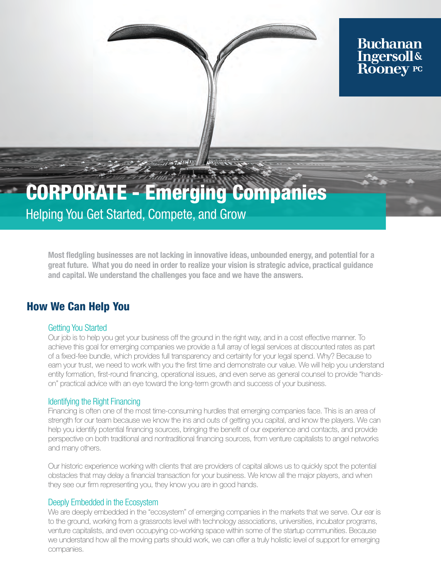### **Buchanan Ingersoll& Rooney PC**

# CORPORATE - Emerging Companies

# Helping You Get Started, Compete, and Grow

Most fledgling businesses are not lacking in innovative ideas, unbounded energy, and potential for a great future. What you do need in order to realize your vision is strategic advice, practical guidance and capital. We understand the challenges you face and we have the answers.

### How We Can Help You

#### Getting You Started

Our job is to help you get your business off the ground in the right way, and in a cost effective manner. To achieve this goal for emerging companies we provide a full array of legal services at discounted rates as part of a fixed-fee bundle, which provides full transparency and certainty for your legal spend. Why? Because to earn your trust, we need to work with you the first time and demonstrate our value. We will help you understand entity formation, first-round financing, operational issues, and even serve as general counsel to provide "handson" practical advice with an eye toward the long-term growth and success of your business.

#### Identifying the Right Financing

Financing is often one of the most time-consuming hurdles that emerging companies face. This is an area of strength for our team because we know the ins and outs of getting you capital, and know the players. We can help you identify potential financing sources, bringing the benefit of our experience and contacts, and provide perspective on both traditional and nontraditional financing sources, from venture capitalists to angel networks and many others.

Our historic experience working with clients that are providers of capital allows us to quickly spot the potential obstacles that may delay a financial transaction for your business. We know all the major players, and when they see our firm representing you, they know you are in good hands.

#### Deeply Embedded in the Ecosystem

We are deeply embedded in the "ecosystem" of emerging companies in the markets that we serve. Our ear is to the ground, working from a grassroots level with technology associations, universities, incubator programs, venture capitalists, and even occupying co-working space within some of the startup communities. Because we understand how all the moving parts should work, we can offer a truly holistic level of support for emerging companies.